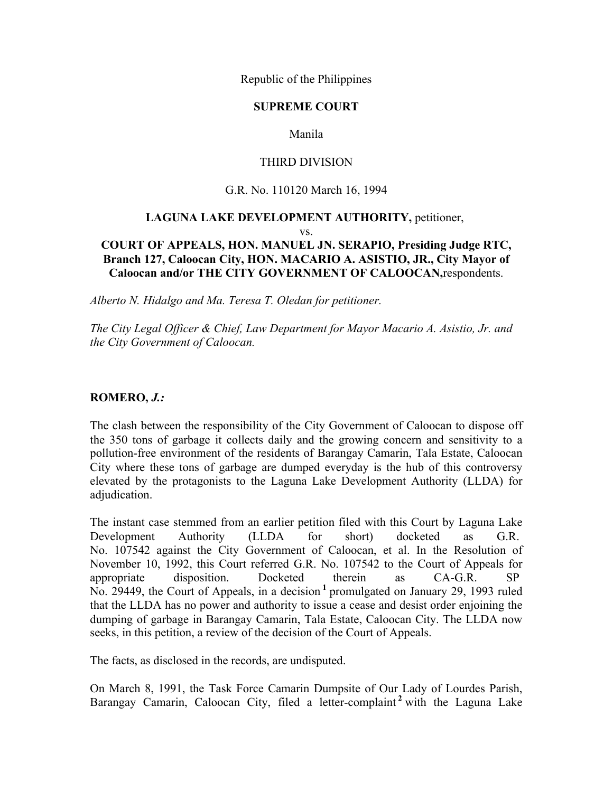Republic of the Philippines

## **SUPREME COURT**

# Manila

## THIRD DIVISION

### G.R. No. 110120 March 16, 1994

# **LAGUNA LAKE DEVELOPMENT AUTHORITY,** petitioner, vs. **COURT OF APPEALS, HON. MANUEL JN. SERAPIO, Presiding Judge RTC, Branch 127, Caloocan City, HON. MACARIO A. ASISTIO, JR., City Mayor of**

**Caloocan and/or THE CITY GOVERNMENT OF CALOOCAN,**respondents.

*Alberto N. Hidalgo and Ma. Teresa T. Oledan for petitioner.*

*The City Legal Officer & Chief, Law Department for Mayor Macario A. Asistio, Jr. and the City Government of Caloocan.*

### **ROMERO,** *J.:*

The clash between the responsibility of the City Government of Caloocan to dispose off the 350 tons of garbage it collects daily and the growing concern and sensitivity to a pollution-free environment of the residents of Barangay Camarin, Tala Estate, Caloocan City where these tons of garbage are dumped everyday is the hub of this controversy elevated by the protagonists to the Laguna Lake Development Authority (LLDA) for adjudication.

The instant case stemmed from an earlier petition filed with this Court by Laguna Lake Development Authority (LLDA for short) docketed as G.R. No. 107542 against the City Government of Caloocan, et al. In the Resolution of November 10, 1992, this Court referred G.R. No. 107542 to the Court of Appeals for appropriate disposition. Docketed therein as CA-G.R. SP No. 29449, the Court of Appeals, in a decision **<sup>1</sup>** promulgated on January 29, 1993 ruled that the LLDA has no power and authority to issue a cease and desist order enjoining the dumping of garbage in Barangay Camarin, Tala Estate, Caloocan City. The LLDA now seeks, in this petition, a review of the decision of the Court of Appeals.

The facts, as disclosed in the records, are undisputed.

On March 8, 1991, the Task Force Camarin Dumpsite of Our Lady of Lourdes Parish, Barangay Camarin, Caloocan City, filed a letter-complaint **<sup>2</sup>** with the Laguna Lake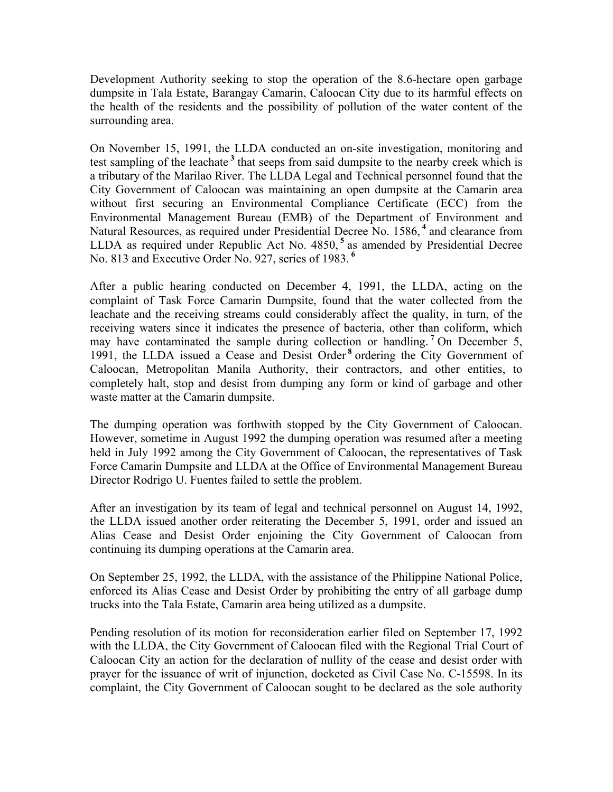Development Authority seeking to stop the operation of the 8.6-hectare open garbage dumpsite in Tala Estate, Barangay Camarin, Caloocan City due to its harmful effects on the health of the residents and the possibility of pollution of the water content of the surrounding area.

On November 15, 1991, the LLDA conducted an on-site investigation, monitoring and test sampling of the leachate **<sup>3</sup>** that seeps from said dumpsite to the nearby creek which is a tributary of the Marilao River. The LLDA Legal and Technical personnel found that the City Government of Caloocan was maintaining an open dumpsite at the Camarin area without first securing an Environmental Compliance Certificate (ECC) from the Environmental Management Bureau (EMB) of the Department of Environment and Natural Resources, as required under Presidential Decree No. 1586, **<sup>4</sup>** and clearance from LLDA as required under Republic Act No. 4850, **<sup>5</sup>** as amended by Presidential Decree No. 813 and Executive Order No. 927, series of 1983. **<sup>6</sup>**

After a public hearing conducted on December 4, 1991, the LLDA, acting on the complaint of Task Force Camarin Dumpsite, found that the water collected from the leachate and the receiving streams could considerably affect the quality, in turn, of the receiving waters since it indicates the presence of bacteria, other than coliform, which may have contaminated the sample during collection or handling. **<sup>7</sup>** On December 5, 1991, the LLDA issued a Cease and Desist Order **<sup>8</sup>** ordering the City Government of Caloocan, Metropolitan Manila Authority, their contractors, and other entities, to completely halt, stop and desist from dumping any form or kind of garbage and other waste matter at the Camarin dumpsite.

The dumping operation was forthwith stopped by the City Government of Caloocan. However, sometime in August 1992 the dumping operation was resumed after a meeting held in July 1992 among the City Government of Caloocan, the representatives of Task Force Camarin Dumpsite and LLDA at the Office of Environmental Management Bureau Director Rodrigo U. Fuentes failed to settle the problem.

After an investigation by its team of legal and technical personnel on August 14, 1992, the LLDA issued another order reiterating the December 5, 1991, order and issued an Alias Cease and Desist Order enjoining the City Government of Caloocan from continuing its dumping operations at the Camarin area.

On September 25, 1992, the LLDA, with the assistance of the Philippine National Police, enforced its Alias Cease and Desist Order by prohibiting the entry of all garbage dump trucks into the Tala Estate, Camarin area being utilized as a dumpsite.

Pending resolution of its motion for reconsideration earlier filed on September 17, 1992 with the LLDA, the City Government of Caloocan filed with the Regional Trial Court of Caloocan City an action for the declaration of nullity of the cease and desist order with prayer for the issuance of writ of injunction, docketed as Civil Case No. C-15598. In its complaint, the City Government of Caloocan sought to be declared as the sole authority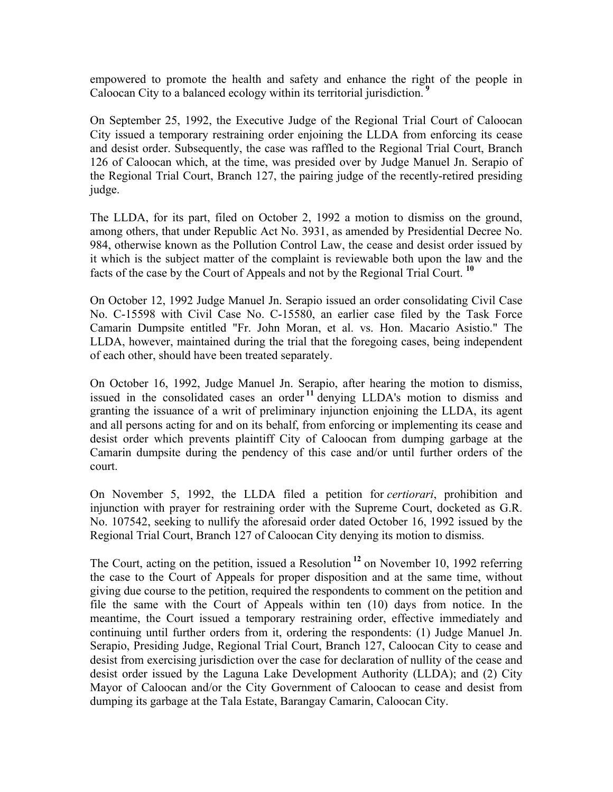empowered to promote the health and safety and enhance the right of the people in Caloocan City to a balanced ecology within its territorial jurisdiction. **<sup>9</sup>**

On September 25, 1992, the Executive Judge of the Regional Trial Court of Caloocan City issued a temporary restraining order enjoining the LLDA from enforcing its cease and desist order. Subsequently, the case was raffled to the Regional Trial Court, Branch 126 of Caloocan which, at the time, was presided over by Judge Manuel Jn. Serapio of the Regional Trial Court, Branch 127, the pairing judge of the recently-retired presiding judge.

The LLDA, for its part, filed on October 2, 1992 a motion to dismiss on the ground, among others, that under Republic Act No. 3931, as amended by Presidential Decree No. 984, otherwise known as the Pollution Control Law, the cease and desist order issued by it which is the subject matter of the complaint is reviewable both upon the law and the facts of the case by the Court of Appeals and not by the Regional Trial Court. **<sup>10</sup>**

On October 12, 1992 Judge Manuel Jn. Serapio issued an order consolidating Civil Case No. C-15598 with Civil Case No. C-15580, an earlier case filed by the Task Force Camarin Dumpsite entitled "Fr. John Moran, et al. vs. Hon. Macario Asistio." The LLDA, however, maintained during the trial that the foregoing cases, being independent of each other, should have been treated separately.

On October 16, 1992, Judge Manuel Jn. Serapio, after hearing the motion to dismiss, issued in the consolidated cases an order **<sup>11</sup>** denying LLDA's motion to dismiss and granting the issuance of a writ of preliminary injunction enjoining the LLDA, its agent and all persons acting for and on its behalf, from enforcing or implementing its cease and desist order which prevents plaintiff City of Caloocan from dumping garbage at the Camarin dumpsite during the pendency of this case and/or until further orders of the court.

On November 5, 1992, the LLDA filed a petition for *certiorari*, prohibition and injunction with prayer for restraining order with the Supreme Court, docketed as G.R. No. 107542, seeking to nullify the aforesaid order dated October 16, 1992 issued by the Regional Trial Court, Branch 127 of Caloocan City denying its motion to dismiss.

The Court, acting on the petition, issued a Resolution **<sup>12</sup>** on November 10, 1992 referring the case to the Court of Appeals for proper disposition and at the same time, without giving due course to the petition, required the respondents to comment on the petition and file the same with the Court of Appeals within ten (10) days from notice. In the meantime, the Court issued a temporary restraining order, effective immediately and continuing until further orders from it, ordering the respondents: (1) Judge Manuel Jn. Serapio, Presiding Judge, Regional Trial Court, Branch 127, Caloocan City to cease and desist from exercising jurisdiction over the case for declaration of nullity of the cease and desist order issued by the Laguna Lake Development Authority (LLDA); and (2) City Mayor of Caloocan and/or the City Government of Caloocan to cease and desist from dumping its garbage at the Tala Estate, Barangay Camarin, Caloocan City.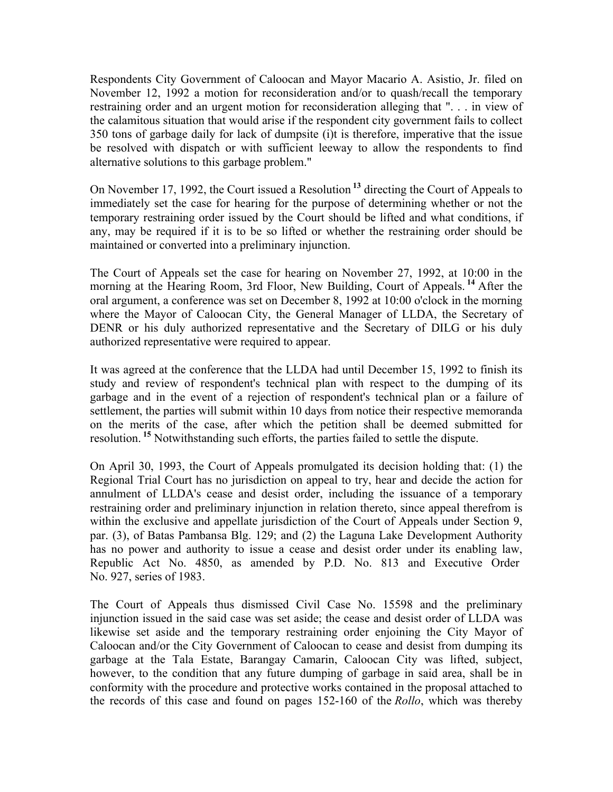Respondents City Government of Caloocan and Mayor Macario A. Asistio, Jr. filed on November 12, 1992 a motion for reconsideration and/or to quash/recall the temporary restraining order and an urgent motion for reconsideration alleging that ". . . in view of the calamitous situation that would arise if the respondent city government fails to collect 350 tons of garbage daily for lack of dumpsite (i)t is therefore, imperative that the issue be resolved with dispatch or with sufficient leeway to allow the respondents to find alternative solutions to this garbage problem."

On November 17, 1992, the Court issued a Resolution **<sup>13</sup>** directing the Court of Appeals to immediately set the case for hearing for the purpose of determining whether or not the temporary restraining order issued by the Court should be lifted and what conditions, if any, may be required if it is to be so lifted or whether the restraining order should be maintained or converted into a preliminary injunction.

The Court of Appeals set the case for hearing on November 27, 1992, at 10:00 in the morning at the Hearing Room, 3rd Floor, New Building, Court of Appeals. **<sup>14</sup>** After the oral argument, a conference was set on December 8, 1992 at 10:00 o'clock in the morning where the Mayor of Caloocan City, the General Manager of LLDA, the Secretary of DENR or his duly authorized representative and the Secretary of DILG or his duly authorized representative were required to appear.

It was agreed at the conference that the LLDA had until December 15, 1992 to finish its study and review of respondent's technical plan with respect to the dumping of its garbage and in the event of a rejection of respondent's technical plan or a failure of settlement, the parties will submit within 10 days from notice their respective memoranda on the merits of the case, after which the petition shall be deemed submitted for resolution. **<sup>15</sup>** Notwithstanding such efforts, the parties failed to settle the dispute.

On April 30, 1993, the Court of Appeals promulgated its decision holding that: (1) the Regional Trial Court has no jurisdiction on appeal to try, hear and decide the action for annulment of LLDA's cease and desist order, including the issuance of a temporary restraining order and preliminary injunction in relation thereto, since appeal therefrom is within the exclusive and appellate jurisdiction of the Court of Appeals under Section 9, par. (3), of Batas Pambansa Blg. 129; and (2) the Laguna Lake Development Authority has no power and authority to issue a cease and desist order under its enabling law, Republic Act No. 4850, as amended by P.D. No. 813 and Executive Order No. 927, series of 1983.

The Court of Appeals thus dismissed Civil Case No. 15598 and the preliminary injunction issued in the said case was set aside; the cease and desist order of LLDA was likewise set aside and the temporary restraining order enjoining the City Mayor of Caloocan and/or the City Government of Caloocan to cease and desist from dumping its garbage at the Tala Estate, Barangay Camarin, Caloocan City was lifted, subject, however, to the condition that any future dumping of garbage in said area, shall be in conformity with the procedure and protective works contained in the proposal attached to the records of this case and found on pages 152-160 of the *Rollo*, which was thereby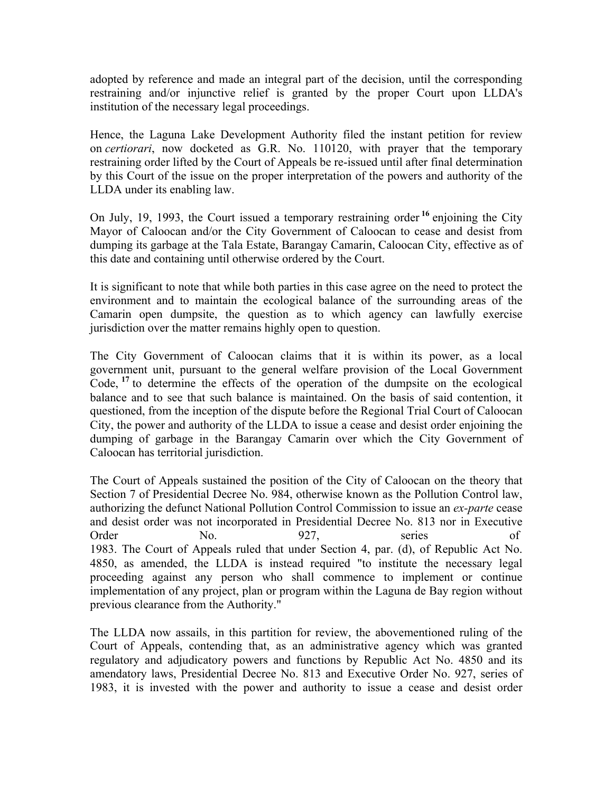adopted by reference and made an integral part of the decision, until the corresponding restraining and/or injunctive relief is granted by the proper Court upon LLDA's institution of the necessary legal proceedings.

Hence, the Laguna Lake Development Authority filed the instant petition for review on *certiorari*, now docketed as G.R. No. 110120, with prayer that the temporary restraining order lifted by the Court of Appeals be re-issued until after final determination by this Court of the issue on the proper interpretation of the powers and authority of the LLDA under its enabling law.

On July, 19, 1993, the Court issued a temporary restraining order **<sup>16</sup>** enjoining the City Mayor of Caloocan and/or the City Government of Caloocan to cease and desist from dumping its garbage at the Tala Estate, Barangay Camarin, Caloocan City, effective as of this date and containing until otherwise ordered by the Court.

It is significant to note that while both parties in this case agree on the need to protect the environment and to maintain the ecological balance of the surrounding areas of the Camarin open dumpsite, the question as to which agency can lawfully exercise jurisdiction over the matter remains highly open to question.

The City Government of Caloocan claims that it is within its power, as a local government unit, pursuant to the general welfare provision of the Local Government Code, **<sup>17</sup>** to determine the effects of the operation of the dumpsite on the ecological balance and to see that such balance is maintained. On the basis of said contention, it questioned, from the inception of the dispute before the Regional Trial Court of Caloocan City, the power and authority of the LLDA to issue a cease and desist order enjoining the dumping of garbage in the Barangay Camarin over which the City Government of Caloocan has territorial jurisdiction.

The Court of Appeals sustained the position of the City of Caloocan on the theory that Section 7 of Presidential Decree No. 984, otherwise known as the Pollution Control law, authorizing the defunct National Pollution Control Commission to issue an *ex-parte* cease and desist order was not incorporated in Presidential Decree No. 813 nor in Executive Order No. 927, series of 1983. The Court of Appeals ruled that under Section 4, par. (d), of Republic Act No. 4850, as amended, the LLDA is instead required "to institute the necessary legal proceeding against any person who shall commence to implement or continue implementation of any project, plan or program within the Laguna de Bay region without previous clearance from the Authority."

The LLDA now assails, in this partition for review, the abovementioned ruling of the Court of Appeals, contending that, as an administrative agency which was granted regulatory and adjudicatory powers and functions by Republic Act No. 4850 and its amendatory laws, Presidential Decree No. 813 and Executive Order No. 927, series of 1983, it is invested with the power and authority to issue a cease and desist order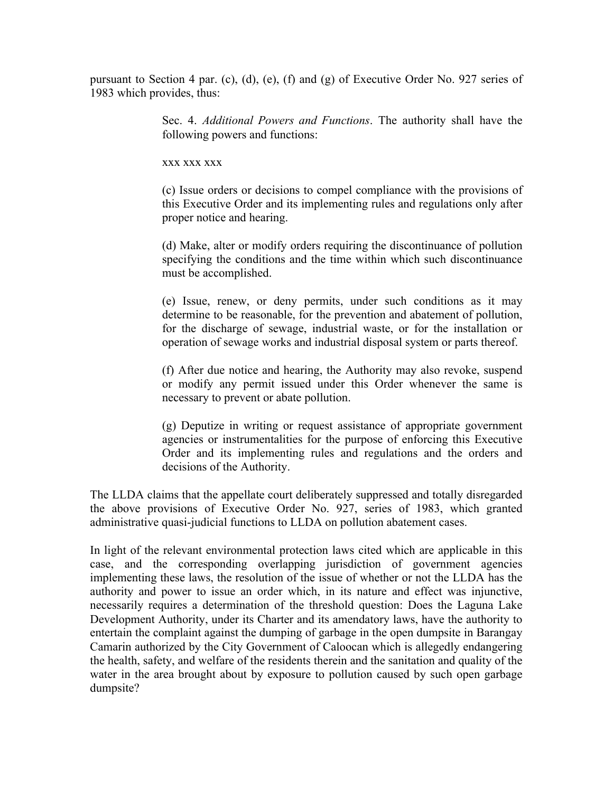pursuant to Section 4 par. (c), (d), (e), (f) and (g) of Executive Order No. 927 series of 1983 which provides, thus:

> Sec. 4. *Additional Powers and Functions*. The authority shall have the following powers and functions:

xxx xxx xxx

(c) Issue orders or decisions to compel compliance with the provisions of this Executive Order and its implementing rules and regulations only after proper notice and hearing.

(d) Make, alter or modify orders requiring the discontinuance of pollution specifying the conditions and the time within which such discontinuance must be accomplished.

(e) Issue, renew, or deny permits, under such conditions as it may determine to be reasonable, for the prevention and abatement of pollution, for the discharge of sewage, industrial waste, or for the installation or operation of sewage works and industrial disposal system or parts thereof.

(f) After due notice and hearing, the Authority may also revoke, suspend or modify any permit issued under this Order whenever the same is necessary to prevent or abate pollution.

(g) Deputize in writing or request assistance of appropriate government agencies or instrumentalities for the purpose of enforcing this Executive Order and its implementing rules and regulations and the orders and decisions of the Authority.

The LLDA claims that the appellate court deliberately suppressed and totally disregarded the above provisions of Executive Order No. 927, series of 1983, which granted administrative quasi-judicial functions to LLDA on pollution abatement cases.

In light of the relevant environmental protection laws cited which are applicable in this case, and the corresponding overlapping jurisdiction of government agencies implementing these laws, the resolution of the issue of whether or not the LLDA has the authority and power to issue an order which, in its nature and effect was injunctive, necessarily requires a determination of the threshold question: Does the Laguna Lake Development Authority, under its Charter and its amendatory laws, have the authority to entertain the complaint against the dumping of garbage in the open dumpsite in Barangay Camarin authorized by the City Government of Caloocan which is allegedly endangering the health, safety, and welfare of the residents therein and the sanitation and quality of the water in the area brought about by exposure to pollution caused by such open garbage dumpsite?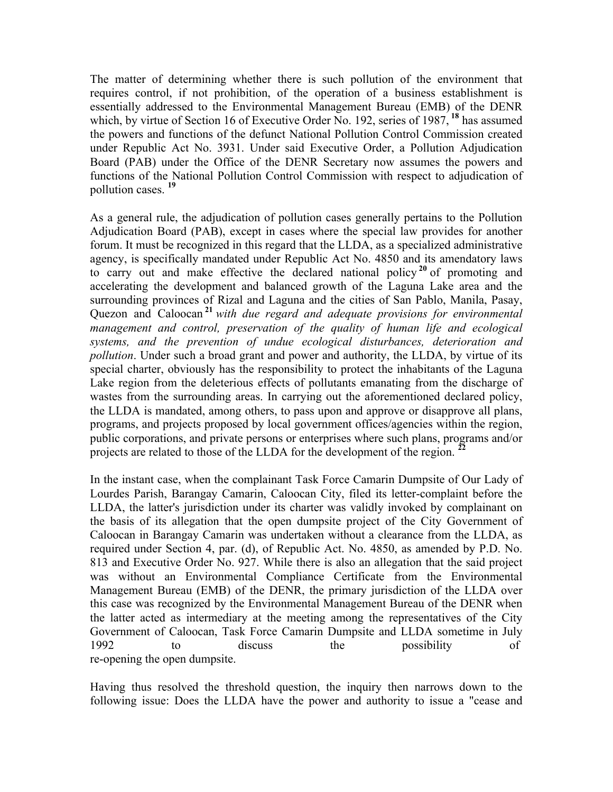The matter of determining whether there is such pollution of the environment that requires control, if not prohibition, of the operation of a business establishment is essentially addressed to the Environmental Management Bureau (EMB) of the DENR which, by virtue of Section 16 of Executive Order No. 192, series of 1987, **<sup>18</sup>** has assumed the powers and functions of the defunct National Pollution Control Commission created under Republic Act No. 3931. Under said Executive Order, a Pollution Adjudication Board (PAB) under the Office of the DENR Secretary now assumes the powers and functions of the National Pollution Control Commission with respect to adjudication of pollution cases. **<sup>19</sup>**

As a general rule, the adjudication of pollution cases generally pertains to the Pollution Adjudication Board (PAB), except in cases where the special law provides for another forum. It must be recognized in this regard that the LLDA, as a specialized administrative agency, is specifically mandated under Republic Act No. 4850 and its amendatory laws to carry out and make effective the declared national policy **<sup>20</sup>** of promoting and accelerating the development and balanced growth of the Laguna Lake area and the surrounding provinces of Rizal and Laguna and the cities of San Pablo, Manila, Pasay, Quezon and Caloocan **<sup>21</sup>** *with due regard and adequate provisions for environmental*  management and control, preservation of the quality of human life and ecological *systems, and the prevention of undue ecological disturbances, deterioration and pollution*. Under such a broad grant and power and authority, the LLDA, by virtue of its special charter, obviously has the responsibility to protect the inhabitants of the Laguna Lake region from the deleterious effects of pollutants emanating from the discharge of wastes from the surrounding areas. In carrying out the aforementioned declared policy, the LLDA is mandated, among others, to pass upon and approve or disapprove all plans, programs, and projects proposed by local government offices/agencies within the region, public corporations, and private persons or enterprises where such plans, programs and/or projects are related to those of the LLDA for the development of the region. **<sup>22</sup>**

In the instant case, when the complainant Task Force Camarin Dumpsite of Our Lady of Lourdes Parish, Barangay Camarin, Caloocan City, filed its letter-complaint before the LLDA, the latter's jurisdiction under its charter was validly invoked by complainant on the basis of its allegation that the open dumpsite project of the City Government of Caloocan in Barangay Camarin was undertaken without a clearance from the LLDA, as required under Section 4, par. (d), of Republic Act. No. 4850, as amended by P.D. No. 813 and Executive Order No. 927. While there is also an allegation that the said project was without an Environmental Compliance Certificate from the Environmental Management Bureau (EMB) of the DENR, the primary jurisdiction of the LLDA over this case was recognized by the Environmental Management Bureau of the DENR when the latter acted as intermediary at the meeting among the representatives of the City Government of Caloocan, Task Force Camarin Dumpsite and LLDA sometime in July 1992 to discuss the possibility of re-opening the open dumpsite.

Having thus resolved the threshold question, the inquiry then narrows down to the following issue: Does the LLDA have the power and authority to issue a "cease and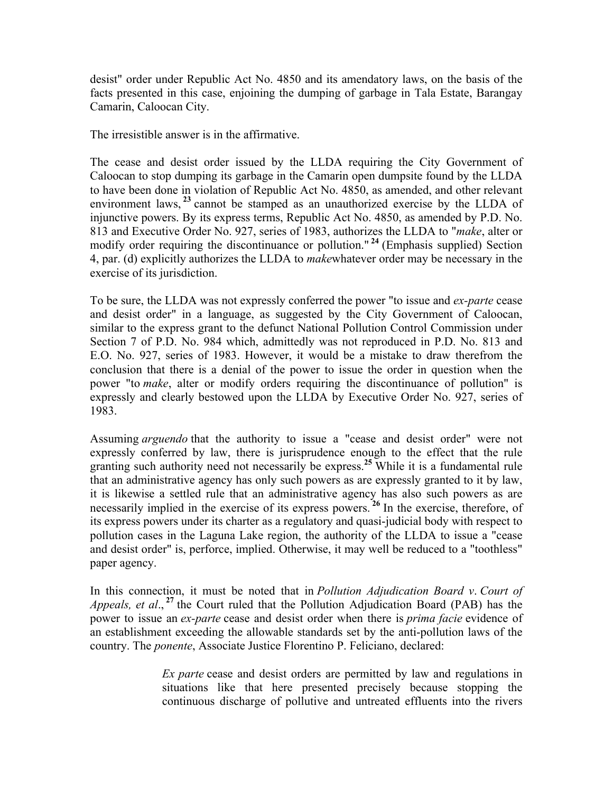desist" order under Republic Act No. 4850 and its amendatory laws, on the basis of the facts presented in this case, enjoining the dumping of garbage in Tala Estate, Barangay Camarin, Caloocan City.

The irresistible answer is in the affirmative.

The cease and desist order issued by the LLDA requiring the City Government of Caloocan to stop dumping its garbage in the Camarin open dumpsite found by the LLDA to have been done in violation of Republic Act No. 4850, as amended, and other relevant environment laws, <sup>23</sup> cannot be stamped as an unauthorized exercise by the LLDA of injunctive powers. By its express terms, Republic Act No. 4850, as amended by P.D. No. 813 and Executive Order No. 927, series of 1983, authorizes the LLDA to "*make*, alter or modify order requiring the discontinuance or pollution." **<sup>24</sup>** (Emphasis supplied) Section 4, par. (d) explicitly authorizes the LLDA to *make*whatever order may be necessary in the exercise of its jurisdiction.

To be sure, the LLDA was not expressly conferred the power "to issue and *ex-parte* cease and desist order" in a language, as suggested by the City Government of Caloocan, similar to the express grant to the defunct National Pollution Control Commission under Section 7 of P.D. No. 984 which, admittedly was not reproduced in P.D. No. 813 and E.O. No. 927, series of 1983. However, it would be a mistake to draw therefrom the conclusion that there is a denial of the power to issue the order in question when the power "to *make*, alter or modify orders requiring the discontinuance of pollution" is expressly and clearly bestowed upon the LLDA by Executive Order No. 927, series of 1983.

Assuming *arguendo* that the authority to issue a "cease and desist order" were not expressly conferred by law, there is jurisprudence enough to the effect that the rule granting such authority need not necessarily be express.**<sup>25</sup>** While it is a fundamental rule that an administrative agency has only such powers as are expressly granted to it by law, it is likewise a settled rule that an administrative agency has also such powers as are necessarily implied in the exercise of its express powers. **<sup>26</sup>** In the exercise, therefore, of its express powers under its charter as a regulatory and quasi-judicial body with respect to pollution cases in the Laguna Lake region, the authority of the LLDA to issue a "cease and desist order" is, perforce, implied. Otherwise, it may well be reduced to a "toothless" paper agency.

In this connection, it must be noted that in *Pollution Adjudication Board v*. *Court of Appeals, et al*., **<sup>27</sup>** the Court ruled that the Pollution Adjudication Board (PAB) has the power to issue an *ex-parte* cease and desist order when there is *prima facie* evidence of an establishment exceeding the allowable standards set by the anti-pollution laws of the country. The *ponente*, Associate Justice Florentino P. Feliciano, declared:

> *Ex parte* cease and desist orders are permitted by law and regulations in situations like that here presented precisely because stopping the continuous discharge of pollutive and untreated effluents into the rivers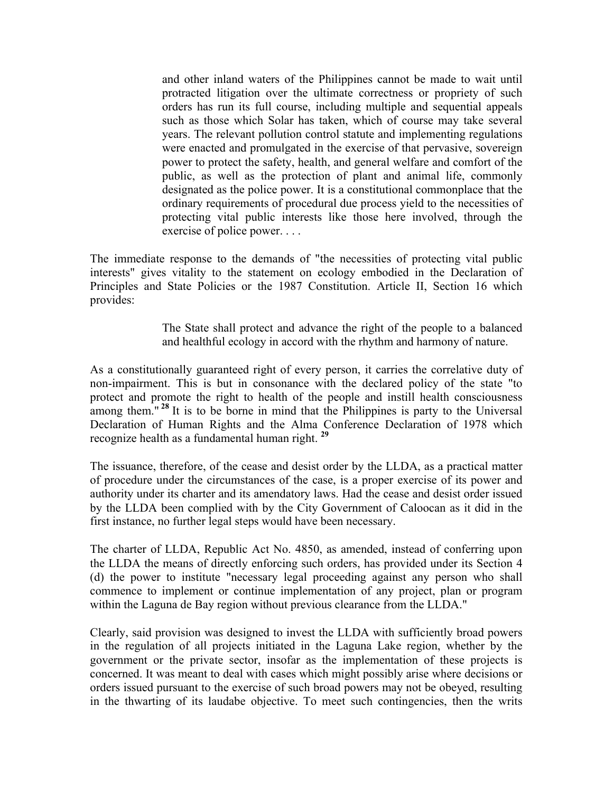and other inland waters of the Philippines cannot be made to wait until protracted litigation over the ultimate correctness or propriety of such orders has run its full course, including multiple and sequential appeals such as those which Solar has taken, which of course may take several years. The relevant pollution control statute and implementing regulations were enacted and promulgated in the exercise of that pervasive, sovereign power to protect the safety, health, and general welfare and comfort of the public, as well as the protection of plant and animal life, commonly designated as the police power. It is a constitutional commonplace that the ordinary requirements of procedural due process yield to the necessities of protecting vital public interests like those here involved, through the exercise of police power. . . .

The immediate response to the demands of "the necessities of protecting vital public interests" gives vitality to the statement on ecology embodied in the Declaration of Principles and State Policies or the 1987 Constitution. Article II, Section 16 which provides:

> The State shall protect and advance the right of the people to a balanced and healthful ecology in accord with the rhythm and harmony of nature.

As a constitutionally guaranteed right of every person, it carries the correlative duty of non-impairment. This is but in consonance with the declared policy of the state "to protect and promote the right to health of the people and instill health consciousness among them."<sup>28</sup> It is to be borne in mind that the Philippines is party to the Universal Declaration of Human Rights and the Alma Conference Declaration of 1978 which recognize health as a fundamental human right. **<sup>29</sup>**

The issuance, therefore, of the cease and desist order by the LLDA, as a practical matter of procedure under the circumstances of the case, is a proper exercise of its power and authority under its charter and its amendatory laws. Had the cease and desist order issued by the LLDA been complied with by the City Government of Caloocan as it did in the first instance, no further legal steps would have been necessary.

The charter of LLDA, Republic Act No. 4850, as amended, instead of conferring upon the LLDA the means of directly enforcing such orders, has provided under its Section 4 (d) the power to institute "necessary legal proceeding against any person who shall commence to implement or continue implementation of any project, plan or program within the Laguna de Bay region without previous clearance from the LLDA."

Clearly, said provision was designed to invest the LLDA with sufficiently broad powers in the regulation of all projects initiated in the Laguna Lake region, whether by the government or the private sector, insofar as the implementation of these projects is concerned. It was meant to deal with cases which might possibly arise where decisions or orders issued pursuant to the exercise of such broad powers may not be obeyed, resulting in the thwarting of its laudabe objective. To meet such contingencies, then the writs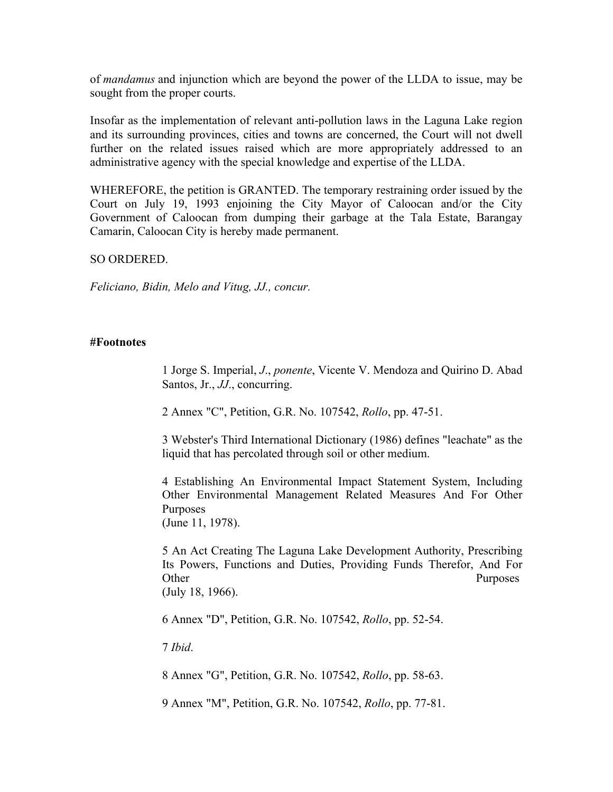of *mandamus* and injunction which are beyond the power of the LLDA to issue, may be sought from the proper courts.

Insofar as the implementation of relevant anti-pollution laws in the Laguna Lake region and its surrounding provinces, cities and towns are concerned, the Court will not dwell further on the related issues raised which are more appropriately addressed to an administrative agency with the special knowledge and expertise of the LLDA.

WHEREFORE, the petition is GRANTED. The temporary restraining order issued by the Court on July 19, 1993 enjoining the City Mayor of Caloocan and/or the City Government of Caloocan from dumping their garbage at the Tala Estate, Barangay Camarin, Caloocan City is hereby made permanent.

SO ORDERED.

*Feliciano, Bidin, Melo and Vitug, JJ., concur.*

### **#Footnotes**

1 Jorge S. Imperial, *J*., *ponente*, Vicente V. Mendoza and Quirino D. Abad Santos, Jr., *JJ*., concurring.

2 Annex "C", Petition, G.R. No. 107542, *Rollo*, pp. 47-51.

3 Webster's Third International Dictionary (1986) defines "leachate" as the liquid that has percolated through soil or other medium.

4 Establishing An Environmental Impact Statement System, Including Other Environmental Management Related Measures And For Other Purposes (June 11, 1978).

5 An Act Creating The Laguna Lake Development Authority, Prescribing Its Powers, Functions and Duties, Providing Funds Therefor, And For Other Purposes (July 18, 1966).

6 Annex "D", Petition, G.R. No. 107542, *Rollo*, pp. 52-54.

7 *Ibid*.

8 Annex "G", Petition, G.R. No. 107542, *Rollo*, pp. 58-63.

9 Annex "M", Petition, G.R. No. 107542, *Rollo*, pp. 77-81.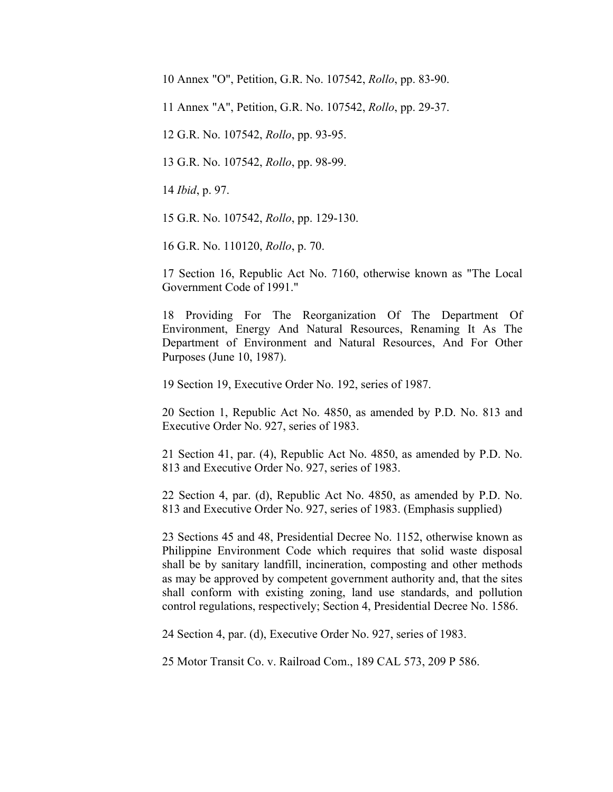10 Annex "O", Petition, G.R. No. 107542, *Rollo*, pp. 83-90.

11 Annex "A", Petition, G.R. No. 107542, *Rollo*, pp. 29-37.

12 G.R. No. 107542, *Rollo*, pp. 93-95.

13 G.R. No. 107542, *Rollo*, pp. 98-99.

14 *Ibid*, p. 97.

15 G.R. No. 107542, *Rollo*, pp. 129-130.

16 G.R. No. 110120, *Rollo*, p. 70.

17 Section 16, Republic Act No. 7160, otherwise known as "The Local Government Code of 1991."

18 Providing For The Reorganization Of The Department Of Environment, Energy And Natural Resources, Renaming It As The Department of Environment and Natural Resources, And For Other Purposes (June 10, 1987).

19 Section 19, Executive Order No. 192, series of 1987.

20 Section 1, Republic Act No. 4850, as amended by P.D. No. 813 and Executive Order No. 927, series of 1983.

21 Section 41, par. (4), Republic Act No. 4850, as amended by P.D. No. 813 and Executive Order No. 927, series of 1983.

22 Section 4, par. (d), Republic Act No. 4850, as amended by P.D. No. 813 and Executive Order No. 927, series of 1983. (Emphasis supplied)

23 Sections 45 and 48, Presidential Decree No. 1152, otherwise known as Philippine Environment Code which requires that solid waste disposal shall be by sanitary landfill, incineration, composting and other methods as may be approved by competent government authority and, that the sites shall conform with existing zoning, land use standards, and pollution control regulations, respectively; Section 4, Presidential Decree No. 1586.

24 Section 4, par. (d), Executive Order No. 927, series of 1983.

25 Motor Transit Co. v. Railroad Com., 189 CAL 573, 209 P 586.